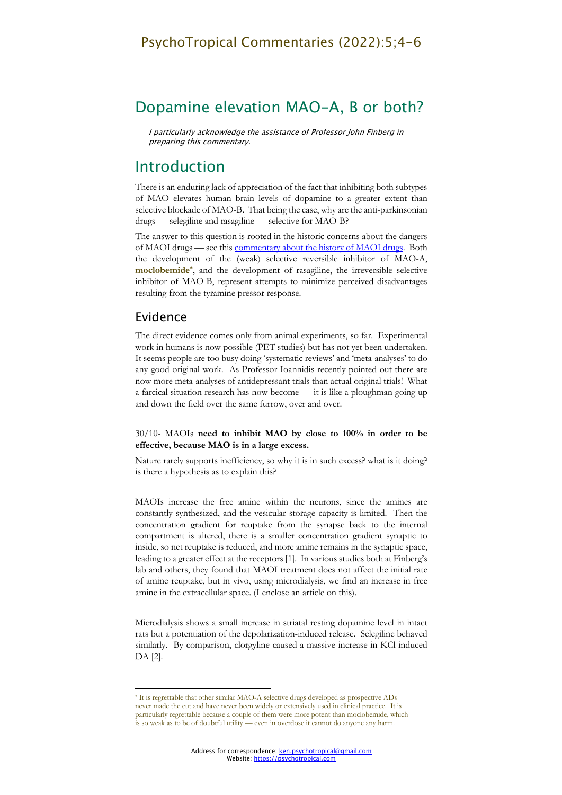# Dopamine elevation MAO-A, B or both?

I particularly acknowledge the assistance of Professor John Finberg in preparing this commentary.

## Introduction

There is an enduring lack of appreciation of the fact that inhibiting both subtypes of MAO elevates human brain levels of dopamine to a greater extent than selective blockade of MAO-B. That being the case, why are the anti-parkinsonian drugs — selegiline and rasagiline — selective for MAO-B?

The answer to this question is rooted in the historic concerns about the dangers of MAOI drugs — see this commentary about the history of MAOI drugs. Both the development of the (weak) selective reversible inhibitor of MAO-A, **moclobemide\***, and the development of rasagiline, the irreversible selective inhibitor of MAO-B, represent attempts to minimize perceived disadvantages resulting from the tyramine pressor response.

### Evidence

The direct evidence comes only from animal experiments, so far. Experimental work in humans is now possible (PET studies) but has not yet been undertaken. It seems people are too busy doing 'systematic reviews' and 'meta-analyses' to do any good original work. As Professor Ioannidis recently pointed out there are now more meta-analyses of antidepressant trials than actual original trials! What a farcical situation research has now become — it is like a ploughman going up and down the field over the same furrow, over and over.

#### 30/10- MAOIs **need to inhibit MAO by close to 100% in order to be effective, because MAO is in a large excess.**

Nature rarely supports inefficiency, so why it is in such excess? what is it doing? is there a hypothesis as to explain this?

MAOIs increase the free amine within the neurons, since the amines are constantly synthesized, and the vesicular storage capacity is limited. Then the concentration gradient for reuptake from the synapse back to the internal compartment is altered, there is a smaller concentration gradient synaptic to inside, so net reuptake is reduced, and more amine remains in the synaptic space, leading to a greater effect at the receptors [1]. In various studies both at Finberg's lab and others, they found that MAOI treatment does not affect the initial rate of amine reuptake, but in vivo, using microdialysis, we find an increase in free amine in the extracellular space. (I enclose an article on this).

Microdialysis shows a small increase in striatal resting dopamine level in intact rats but a potentiation of the depolarization-induced release. Selegiline behaved similarly. By comparison, clorgyline caused a massive increase in KCl-induced DA [2].

<sup>\*</sup> It is regrettable that other similar MAO-A selective drugs developed as prospective ADs never made the cut and have never been widely or extensively used in clinical practice. It is particularly regrettable because a couple of them were more potent than moclobemide, which is so weak as to be of doubtful utility — even in overdose it cannot do anyone any harm.